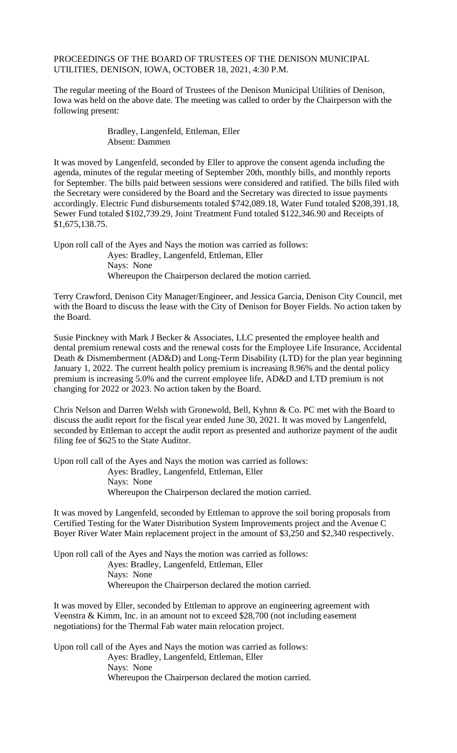PROCEEDINGS OF THE BOARD OF TRUSTEES OF THE DENISON MUNICIPAL UTILITIES, DENISON, IOWA, OCTOBER 18, 2021, 4:30 P.M.

The regular meeting of the Board of Trustees of the Denison Municipal Utilities of Denison, Iowa was held on the above date. The meeting was called to order by the Chairperson with the following present:

> Bradley, Langenfeld, Ettleman, Eller Absent: Dammen

It was moved by Langenfeld, seconded by Eller to approve the consent agenda including the agenda, minutes of the regular meeting of September 20th, monthly bills, and monthly reports for September. The bills paid between sessions were considered and ratified. The bills filed with the Secretary were considered by the Board and the Secretary was directed to issue payments accordingly. Electric Fund disbursements totaled \$742,089.18, Water Fund totaled \$208,391.18, Sewer Fund totaled \$102,739.29, Joint Treatment Fund totaled \$122,346.90 and Receipts of \$1,675,138.75.

Upon roll call of the Ayes and Nays the motion was carried as follows: Ayes: Bradley, Langenfeld, Ettleman, Eller Nays: None Whereupon the Chairperson declared the motion carried.

Terry Crawford, Denison City Manager/Engineer, and Jessica Garcia, Denison City Council, met with the Board to discuss the lease with the City of Denison for Boyer Fields. No action taken by the Board.

Susie Pinckney with Mark J Becker & Associates, LLC presented the employee health and dental premium renewal costs and the renewal costs for the Employee Life Insurance, Accidental Death & Dismemberment (AD&D) and Long-Term Disability (LTD) for the plan year beginning January 1, 2022. The current health policy premium is increasing 8.96% and the dental policy premium is increasing 5.0% and the current employee life, AD&D and LTD premium is not changing for 2022 or 2023. No action taken by the Board.

Chris Nelson and Darren Welsh with Gronewold, Bell, Kyhnn & Co. PC met with the Board to discuss the audit report for the fiscal year ended June 30, 2021. It was moved by Langenfeld, seconded by Ettleman to accept the audit report as presented and authorize payment of the audit filing fee of \$625 to the State Auditor.

Upon roll call of the Ayes and Nays the motion was carried as follows: Ayes: Bradley, Langenfeld, Ettleman, Eller Nays: None Whereupon the Chairperson declared the motion carried.

It was moved by Langenfeld, seconded by Ettleman to approve the soil boring proposals from Certified Testing for the Water Distribution System Improvements project and the Avenue C Boyer River Water Main replacement project in the amount of \$3,250 and \$2,340 respectively.

Upon roll call of the Ayes and Nays the motion was carried as follows: Ayes: Bradley, Langenfeld, Ettleman, Eller Nays: None Whereupon the Chairperson declared the motion carried.

It was moved by Eller, seconded by Ettleman to approve an engineering agreement with Veenstra & Kimm, Inc. in an amount not to exceed \$28,700 (not including easement negotiations) for the Thermal Fab water main relocation project.

Upon roll call of the Ayes and Nays the motion was carried as follows: Ayes: Bradley, Langenfeld, Ettleman, Eller Nays: None Whereupon the Chairperson declared the motion carried.